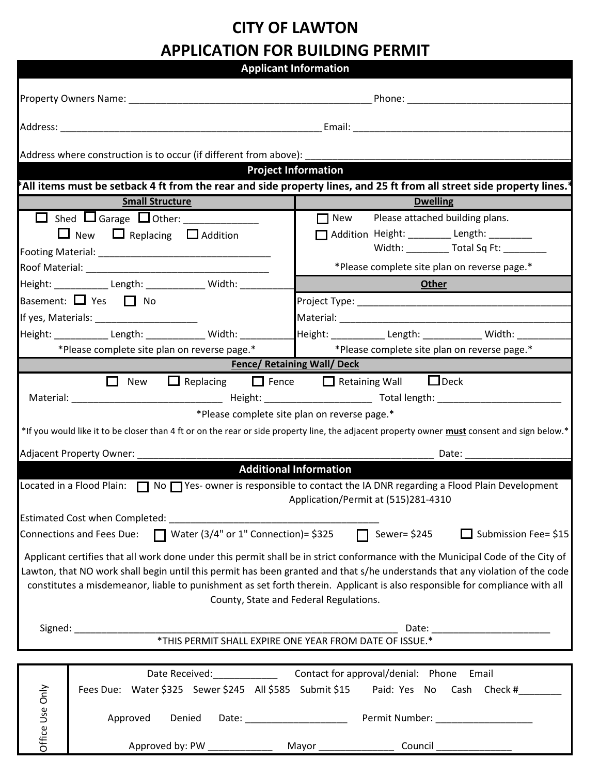## **CITY OF LAWTON APPLICATION FOR BUILDING PERMIT**

|                                                                                                                                                                                                                                                             |                                                                                           | <b>Applicant Information</b>                                                                                                                 |
|-------------------------------------------------------------------------------------------------------------------------------------------------------------------------------------------------------------------------------------------------------------|-------------------------------------------------------------------------------------------|----------------------------------------------------------------------------------------------------------------------------------------------|
|                                                                                                                                                                                                                                                             |                                                                                           | Phone: _______________________                                                                                                               |
|                                                                                                                                                                                                                                                             |                                                                                           |                                                                                                                                              |
|                                                                                                                                                                                                                                                             | Address where construction is to occur (if different from above):                         |                                                                                                                                              |
|                                                                                                                                                                                                                                                             | <u>a sa Baratan San T</u>                                                                 | <b>Project Information</b>                                                                                                                   |
|                                                                                                                                                                                                                                                             |                                                                                           | All items must be setback 4 ft from the rear and side property lines, and 25 ft from all street side property lines. <sup>*</sup>            |
|                                                                                                                                                                                                                                                             | <b>Small Structure</b>                                                                    | <b>Dwelling</b>                                                                                                                              |
|                                                                                                                                                                                                                                                             |                                                                                           | $\Box$ New Please attached building plans.                                                                                                   |
| $\Box$ New $\Box$ Replacing $\Box$ Addition                                                                                                                                                                                                                 |                                                                                           | Addition Height: ________ Length: ________                                                                                                   |
|                                                                                                                                                                                                                                                             |                                                                                           | Width: ____________ Total Sq Ft: ________                                                                                                    |
|                                                                                                                                                                                                                                                             |                                                                                           | *Please complete site plan on reverse page.*                                                                                                 |
| Height: ______________ Length: _______________ Width: ________<br>Other                                                                                                                                                                                     |                                                                                           |                                                                                                                                              |
| Basement: $\Box$ Yes $\Box$ No                                                                                                                                                                                                                              |                                                                                           |                                                                                                                                              |
| If yes, Materials: _______________________                                                                                                                                                                                                                  |                                                                                           |                                                                                                                                              |
|                                                                                                                                                                                                                                                             | Height: ____________ Length: _____________ Width: ______                                  | Height: ______________ Length: _______________ Width: ___                                                                                    |
|                                                                                                                                                                                                                                                             | *Please complete site plan on reverse page.*                                              | *Please complete site plan on reverse page.*                                                                                                 |
|                                                                                                                                                                                                                                                             |                                                                                           | <b>Fence/ Retaining Wall/ Deck</b>                                                                                                           |
|                                                                                                                                                                                                                                                             |                                                                                           | $\Box$ New $\Box$ Replacing $\Box$ Fence $\Box$ Retaining Wall $\Box$ Deck                                                                   |
|                                                                                                                                                                                                                                                             |                                                                                           |                                                                                                                                              |
|                                                                                                                                                                                                                                                             |                                                                                           | *Please complete site plan on reverse page.*                                                                                                 |
|                                                                                                                                                                                                                                                             |                                                                                           | *If you would like it to be closer than 4 ft or on the rear or side property line, the adjacent property owner must consent and sign below.* |
|                                                                                                                                                                                                                                                             |                                                                                           |                                                                                                                                              |
| Adjacent Property Owner: Note that the state of the state of the state of the state of the state of the state o<br>Date: _____________                                                                                                                      |                                                                                           |                                                                                                                                              |
|                                                                                                                                                                                                                                                             |                                                                                           | <b>Additional Information</b>                                                                                                                |
|                                                                                                                                                                                                                                                             |                                                                                           | Located in a Flood Plain:  Solly Yes-Owner is responsible to contact the IA DNR regarding a Flood Plain Development                          |
| Application/Permit at (515)281-4310                                                                                                                                                                                                                         |                                                                                           |                                                                                                                                              |
|                                                                                                                                                                                                                                                             | Estimated Cost when Completed:                                                            |                                                                                                                                              |
|                                                                                                                                                                                                                                                             | Connections and Fees Due: $\Box$ Water (3/4" or 1" Connection)= \$325 $\Box$ Sewer= \$245 | $\Box$ Submission Fee= \$15                                                                                                                  |
|                                                                                                                                                                                                                                                             |                                                                                           |                                                                                                                                              |
|                                                                                                                                                                                                                                                             |                                                                                           | Applicant certifies that all work done under this permit shall be in strict conformance with the Municipal Code of the City of               |
| Lawton, that NO work shall begin until this permit has been granted and that s/he understands that any violation of the code<br>constitutes a misdemeanor, liable to punishment as set forth therein. Applicant is also responsible for compliance with all |                                                                                           |                                                                                                                                              |
|                                                                                                                                                                                                                                                             |                                                                                           | County, State and Federal Regulations.                                                                                                       |
|                                                                                                                                                                                                                                                             |                                                                                           |                                                                                                                                              |
| Signed:                                                                                                                                                                                                                                                     |                                                                                           |                                                                                                                                              |
|                                                                                                                                                                                                                                                             |                                                                                           | *THIS PERMIT SHALL EXPIRE ONE YEAR FROM DATE OF ISSUE.*                                                                                      |
|                                                                                                                                                                                                                                                             |                                                                                           |                                                                                                                                              |
|                                                                                                                                                                                                                                                             | Date Received: _____________                                                              | Contact for approval/denial: Phone Email                                                                                                     |
|                                                                                                                                                                                                                                                             | Fees Due: Water \$325 Sewer \$245 All \$585 Submit \$15                                   | Paid: Yes No Cash Check #                                                                                                                    |
|                                                                                                                                                                                                                                                             |                                                                                           |                                                                                                                                              |
| Office Use Only<br>Approved<br>Denied<br>Date: _____________________                                                                                                                                                                                        |                                                                                           | Permit Number: ___________________                                                                                                           |
|                                                                                                                                                                                                                                                             |                                                                                           |                                                                                                                                              |
|                                                                                                                                                                                                                                                             | Approved by: PW ____________                                                              | Mayor _________________<br>$Count$ ______________                                                                                            |